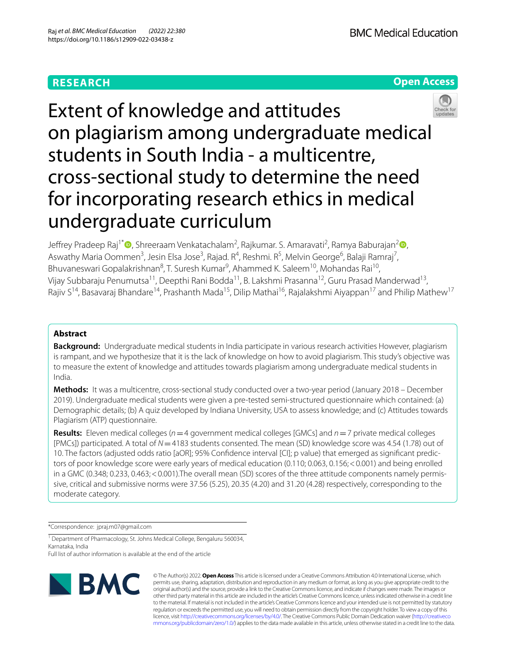# **RESEARCH**



# Extent of knowledge and attitudes on plagiarism among undergraduate medical students in South India - a multicentre, cross-sectional study to determine the need for incorporating research ethics in medical undergraduate curriculum

Jeffrey Pradeep Raj<sup>1[\\*](http://orcid.org/0000-0002-8621-6106)</sup>®, Shreeraam Venkatachalam<sup>[2](http://orcid.org/0000-0001-8853-5285)</sup>, Rajkumar. S. Amaravati<sup>2</sup>, Ramya Baburajan<sup>2</sup>®, Aswathy Maria Oommen<sup>3</sup>, Jesin Elsa Jose<sup>3</sup>, Rajad. R<sup>4</sup>, Reshmi. R<sup>5</sup>, Melvin George<sup>6</sup>, Balaji Ramraj<sup>7</sup>, Bhuvaneswari Gopalakrishnan<sup>8</sup>, T. Suresh Kumar<sup>9</sup>, Ahammed K. Saleem<sup>10</sup>, Mohandas Rai<sup>10</sup>, Vijay Subbaraju Penumutsa<sup>11</sup>, Deepthi Rani Bodda<sup>11</sup>, B. Lakshmi Prasanna<sup>12</sup>, Guru Prasad Manderwad<sup>13</sup>, Rajiv S<sup>14</sup>, Basavaraj Bhandare<sup>14</sup>, Prashanth Mada<sup>15</sup>, Dilip Mathai<sup>16</sup>, Rajalakshmi Aiyappan<sup>17</sup> and Philip Mathew<sup>17</sup>

## **Abstract**

**Background:** Undergraduate medical students in India participate in various research activities However, plagiarism is rampant, and we hypothesize that it is the lack of knowledge on how to avoid plagiarism. This study's objective was to measure the extent of knowledge and attitudes towards plagiarism among undergraduate medical students in India.

**Methods:** It was a multicentre, cross-sectional study conducted over a two-year period (January 2018 – December 2019). Undergraduate medical students were given a pre-tested semi-structured questionnaire which contained: (a) Demographic details; (b) A quiz developed by Indiana University, USA to assess knowledge; and (c) Attitudes towards Plagiarism (ATP) questionnaire.

**Results:** Eleven medical colleges (*n*=4 government medical colleges [GMCs] and *n*=7 private medical colleges [PMCs]) participated. A total of *N*=4183 students consented. The mean (SD) knowledge score was 4.54 (1.78) out of 10. The factors (adjusted odds ratio [aOR]; 95% Confdence interval [CI]; p value) that emerged as signifcant predictors of poor knowledge score were early years of medical education (0.110; 0.063, 0.156;<0.001) and being enrolled in a GMC (0.348; 0.233, 0.463;<0.001).The overall mean (SD) scores of the three attitude components namely permissive, critical and submissive norms were 37.56 (5.25), 20.35 (4.20) and 31.20 (4.28) respectively, corresponding to the moderate category.

\*Correspondence: jpraj.m07@gmail.com

<sup>1</sup> Department of Pharmacology, St. Johns Medical College, Bengaluru 560034, Karnataka, India

Full list of author information is available at the end of the article



© The Author(s) 2022. **Open Access** This article is licensed under a Creative Commons Attribution 4.0 International License, which permits use, sharing, adaptation, distribution and reproduction in any medium or format, as long as you give appropriate credit to the original author(s) and the source, provide a link to the Creative Commons licence, and indicate if changes were made. The images or other third party material in this article are included in the article's Creative Commons licence, unless indicated otherwise in a credit line to the material. If material is not included in the article's Creative Commons licence and your intended use is not permitted by statutory regulation or exceeds the permitted use, you will need to obtain permission directly from the copyright holder. To view a copy of this licence, visit [http://creativecommons.org/licenses/by/4.0/.](http://creativecommons.org/licenses/by/4.0/) The Creative Commons Public Domain Dedication waiver ([http://creativeco](http://creativecommons.org/publicdomain/zero/1.0/) [mmons.org/publicdomain/zero/1.0/](http://creativecommons.org/publicdomain/zero/1.0/)) applies to the data made available in this article, unless otherwise stated in a credit line to the data.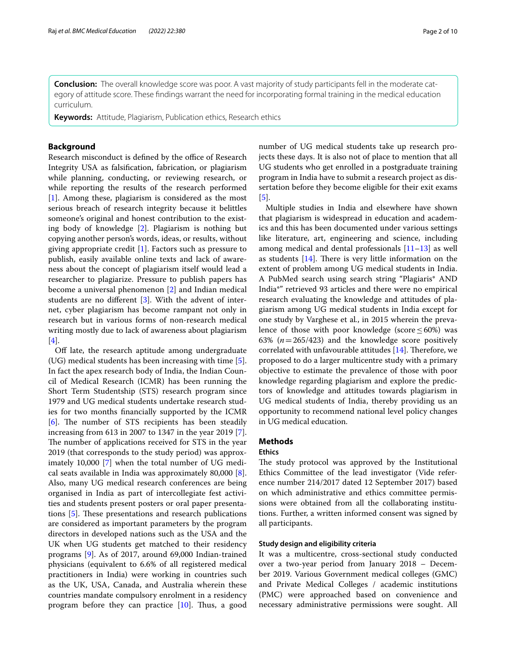**Conclusion:** The overall knowledge score was poor. A vast majority of study participants fell in the moderate category of attitude score. These fndings warrant the need for incorporating formal training in the medical education curriculum.

**Keywords:** Attitude, Plagiarism, Publication ethics, Research ethics

## **Background**

Research misconduct is defined by the office of Research Integrity USA as falsifcation, fabrication, or plagiarism while planning, conducting, or reviewing research, or while reporting the results of the research performed [[1\]](#page-9-0). Among these, plagiarism is considered as the most serious breach of research integrity because it belittles someone's original and honest contribution to the existing body of knowledge [\[2\]](#page-9-1). Plagiarism is nothing but copying another person's words, ideas, or results, without giving appropriate credit [\[1](#page-9-0)]. Factors such as pressure to publish, easily available online texts and lack of awareness about the concept of plagiarism itself would lead a researcher to plagiarize. Pressure to publish papers has become a universal phenomenon [[2](#page-9-1)] and Indian medical students are no diferent [\[3](#page-9-2)]. With the advent of internet, cyber plagiarism has become rampant not only in research but in various forms of non-research medical writing mostly due to lack of awareness about plagiarism [[4\]](#page-9-3).

Off late, the research aptitude among undergraduate (UG) medical students has been increasing with time [\[5](#page-9-4)]. In fact the apex research body of India, the Indian Council of Medical Research (ICMR) has been running the Short Term Studentship (STS) research program since 1979 and UG medical students undertake research studies for two months fnancially supported by the ICMR [[6\]](#page-9-5). The number of STS recipients has been steadily increasing from 613 in 2007 to 1347 in the year 2019 [\[7](#page-9-6)]. The number of applications received for STS in the year 2019 (that corresponds to the study period) was approximately 10,000 [[7\]](#page-9-6) when the total number of UG medical seats available in India was approximately 80,000 [\[8](#page-9-7)]. Also, many UG medical research conferences are being organised in India as part of intercollegiate fest activities and students present posters or oral paper presentations  $[5]$  $[5]$ . These presentations and research publications are considered as important parameters by the program directors in developed nations such as the USA and the UK when UG students get matched to their residency programs [[9](#page-9-8)]. As of 2017, around 69,000 Indian-trained physicians (equivalent to 6.6% of all registered medical practitioners in India) were working in countries such as the UK, USA, Canada, and Australia wherein these countries mandate compulsory enrolment in a residency program before they can practice  $[10]$ . Thus, a good number of UG medical students take up research projects these days. It is also not of place to mention that all UG students who get enrolled in a postgraduate training program in India have to submit a research project as dissertation before they become eligible for their exit exams [[5\]](#page-9-4).

Multiple studies in India and elsewhere have shown that plagiarism is widespread in education and academics and this has been documented under various settings like literature, art, engineering and science, including among medical and dental professionals [\[11](#page-9-10)[–13](#page-9-11)] as well as students  $[14]$  $[14]$ . There is very little information on the extent of problem among UG medical students in India. A PubMed search using search string "Plagiaris\* AND India\*" retrieved 93 articles and there were no empirical research evaluating the knowledge and attitudes of plagiarism among UG medical students in India except for one study by Varghese et al*.*, in 2015 wherein the prevalence of those with poor knowledge (score  $\leq 60\%$ ) was 63% (*n*=265/423) and the knowledge score positively correlated with unfavourable attitudes  $[14]$  $[14]$  $[14]$ . Therefore, we proposed to do a larger multicentre study with a primary objective to estimate the prevalence of those with poor knowledge regarding plagiarism and explore the predictors of knowledge and attitudes towards plagiarism in UG medical students of India, thereby providing us an opportunity to recommend national level policy changes in UG medical education.

## **Methods**

## **Ethics**

The study protocol was approved by the Institutional Ethics Committee of the lead investigator (Vide reference number 214/2017 dated 12 September 2017) based on which administrative and ethics committee permissions were obtained from all the collaborating institutions. Further, a written informed consent was signed by all participants.

## **Study design and eligibility criteria**

It was a multicentre, cross-sectional study conducted over a two-year period from January 2018 – December 2019. Various Government medical colleges (GMC) and Private Medical Colleges / academic institutions (PMC) were approached based on convenience and necessary administrative permissions were sought. All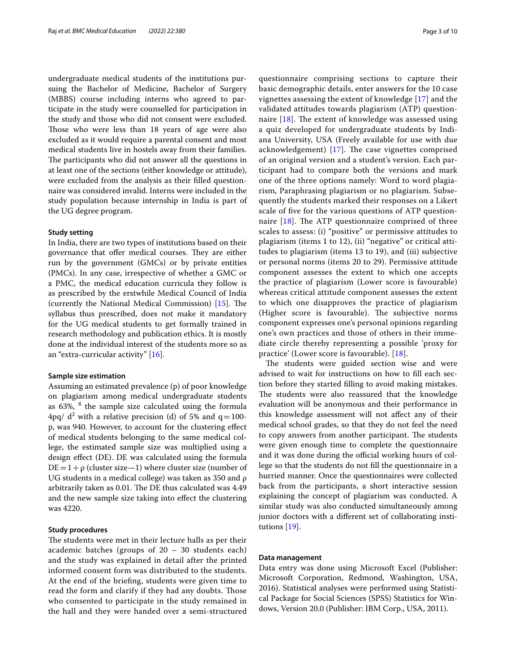undergraduate medical students of the institutions pursuing the Bachelor of Medicine, Bachelor of Surgery (MBBS) course including interns who agreed to participate in the study were counselled for participation in the study and those who did not consent were excluded. Those who were less than 18 years of age were also excluded as it would require a parental consent and most medical students live in hostels away from their families. The participants who did not answer all the questions in at least one of the sections (either knowledge or attitude), were excluded from the analysis as their flled questionnaire was considered invalid. Interns were included in the study population because internship in India is part of the UG degree program.

## **Study setting**

In India, there are two types of institutions based on their governance that offer medical courses. They are either run by the government (GMCs) or by private entities (PMCs). In any case, irrespective of whether a GMC or a PMC, the medical education curricula they follow is as prescribed by the erstwhile Medical Council of India (currently the National Medical Commission) [\[15\]](#page-9-13). The syllabus thus prescribed, does not make it mandatory for the UG medical students to get formally trained in research methodology and publication ethics. It is mostly done at the individual interest of the students more so as an "extra-curricular activity" [\[16](#page-9-14)].

## **Sample size estimation**

Assuming an estimated prevalence (p) of poor knowledge on plagiarism among medical undergraduate students as 63%,  $^8$  the sample size calculated using the formula  $4$ pq/d<sup>2</sup> with a relative precision (d) of 5% and  $q=100$ p, was 940. However, to account for the clustering efect of medical students belonging to the same medical college, the estimated sample size was multiplied using a design efect (DE). DE was calculated using the formula  $DE=1+\rho$  (cluster size—1) where cluster size (number of UG students in a medical college) was taken as 350 and ρ arbitrarily taken as 0.01. The DE thus calculated was 4.49 and the new sample size taking into efect the clustering was 4220.

## **Study procedures**

The students were met in their lecture halls as per their academic batches (groups of 20 – 30 students each) and the study was explained in detail after the printed informed consent form was distributed to the students. At the end of the briefng, students were given time to read the form and clarify if they had any doubts. Those who consented to participate in the study remained in the hall and they were handed over a semi-structured

questionnaire comprising sections to capture their basic demographic details, enter answers for the 10 case vignettes assessing the extent of knowledge [[17\]](#page-9-15) and the validated attitudes towards plagiarism (ATP) questionnaire  $[18]$ . The extent of knowledge was assessed using a quiz developed for undergraduate students by Indiana University, USA (Freely available for use with due acknowledgement)  $[17]$  $[17]$ . The case vignettes comprised of an original version and a student's version. Each participant had to compare both the versions and mark one of the three options namely: Word to word plagiarism, Paraphrasing plagiarism or no plagiarism. Subsequently the students marked their responses on a Likert scale of fve for the various questions of ATP questionnaire  $[18]$  $[18]$ . The ATP questionnaire comprised of three scales to assess: (i) "positive" or permissive attitudes to plagiarism (items 1 to 12), (ii) "negative" or critical attitudes to plagiarism (items 13 to 19), and (iii) subjective or personal norms (items 20 to 29). Permissive attitude component assesses the extent to which one accepts the practice of plagiarism (Lower score is favourable) whereas critical attitude component assesses the extent to which one disapproves the practice of plagiarism (Higher score is favourable). The subjective norms component expresses one's personal opinions regarding one's own practices and those of others in their immediate circle thereby representing a possible 'proxy for practice' (Lower score is favourable). [[18\]](#page-9-16).

The students were guided section wise and were advised to wait for instructions on how to fll each section before they started flling to avoid making mistakes. The students were also reassured that the knowledge evaluation will be anonymous and their performance in this knowledge assessment will not afect any of their medical school grades, so that they do not feel the need to copy answers from another participant. The students were given enough time to complete the questionnaire and it was done during the official working hours of college so that the students do not fll the questionnaire in a hurried manner. Once the questionnaires were collected back from the participants, a short interactive session explaining the concept of plagiarism was conducted. A similar study was also conducted simultaneously among junior doctors with a diferent set of collaborating institutions [\[19\]](#page-9-17).

## **Data management**

Data entry was done using Microsoft Excel (Publisher: Microsoft Corporation, Redmond, Washington, USA, 2016). Statistical analyses were performed using Statistical Package for Social Sciences (SPSS) Statistics for Windows, Version 20.0 (Publisher: IBM Corp., USA, 2011).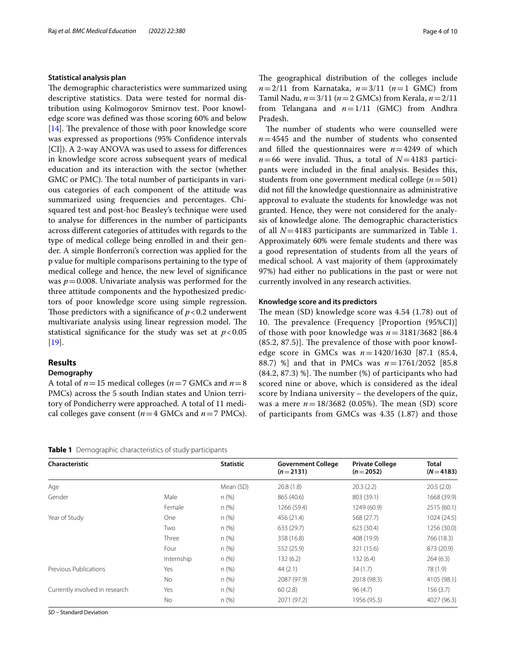## **Statistical analysis plan**

The demographic characteristics were summarized using descriptive statistics. Data were tested for normal distribution using Kolmogorov Smirnov test. Poor knowledge score was defned was those scoring 60% and below [ $14$ ]. The prevalence of those with poor knowledge score was expressed as proportions (95% Confdence intervals [CI]). A 2-way ANOVA was used to assess for diferences in knowledge score across subsequent years of medical education and its interaction with the sector (whether GMC or PMC). The total number of participants in various categories of each component of the attitude was summarized using frequencies and percentages. Chisquared test and post-hoc Beasley's technique were used to analyse for diferences in the number of participants across diferent categories of attitudes with regards to the type of medical college being enrolled in and their gender. A simple Bonferroni's correction was applied for the p value for multiple comparisons pertaining to the type of medical college and hence, the new level of signifcance was  $p = 0.008$ . Univariate analysis was performed for the three attitude components and the hypothesized predictors of poor knowledge score using simple regression. Those predictors with a significance of  $p < 0.2$  underwent multivariate analysis using linear regression model. The statistical significance for the study was set at  $p < 0.05$ [[19\]](#page-9-17).

## **Results**

## **Demography**

A total of  $n=15$  medical colleges ( $n=7$  GMCs and  $n=8$ PMCs) across the 5 south Indian states and Union territory of Pondicherry were approached. A total of 11 medical colleges gave consent ( $n=4$  GMCs and  $n=7$  PMCs).

<span id="page-3-0"></span>

|  |  | Table 1 Demographic characteristics of study participants |  |  |
|--|--|-----------------------------------------------------------|--|--|
|--|--|-----------------------------------------------------------|--|--|

The geographical distribution of the colleges include  $n=2/11$  from Karnataka,  $n=3/11$  ( $n=1$  GMC) from Tamil Nadu, *n*=3/11 (*n*=2 GMCs) from Kerala, *n*=2/11 from Telangana and *n*=1/11 (GMC) from Andhra Pradesh.

The number of students who were counselled were  $n=4545$  and the number of students who consented and filled the questionnaires were  $n=4249$  of which  $n=66$  were invalid. Thus, a total of  $N=4183$  participants were included in the fnal analysis. Besides this, students from one government medical college (*n*=501) did not fll the knowledge questionnaire as administrative approval to evaluate the students for knowledge was not granted. Hence, they were not considered for the analysis of knowledge alone. The demographic characteristics of all *N*=4183 participants are summarized in Table [1](#page-3-0). Approximately 60% were female students and there was a good representation of students from all the years of medical school. A vast majority of them (approximately 97%) had either no publications in the past or were not currently involved in any research activities.

## **Knowledge score and its predictors**

The mean (SD) knowledge score was  $4.54$  (1.78) out of 10. The prevalence (Frequency [Proportion (95%CI)] of those with poor knowledge was  $n=3181/3682$  [86.4]  $(85.2, 87.5)$ ]. The prevalence of those with poor knowledge score in GMCs was *n*=1420/1630 [87.1 (85.4, 88.7) %] and that in PMCs was *n*=1761/2052 [85.8  $(84.2, 87.3)$  %]. The number  $(\%)$  of participants who had scored nine or above, which is considered as the ideal score by Indiana university – the developers of the quiz, was a mere  $n = 18/3682$  (0.05%). The mean (SD) score of participants from GMCs was 4.35 (1.87) and those

| Characteristic                 |            | <b>Statistic</b> | <b>Government College</b><br>$(n=2131)$ | <b>Private College</b><br>$(n=2052)$ | <b>Total</b><br>$(N=4183)$ |
|--------------------------------|------------|------------------|-----------------------------------------|--------------------------------------|----------------------------|
| Age                            |            | Mean (SD)        | 20.8(1.8)                               | 20.3(2.2)                            | 20.5(2.0)                  |
| Gender                         | Male       | n (%)            | 865 (40.6)                              | 803 (39.1)                           | 1668 (39.9)                |
|                                | Female     | n (%)            | 1266 (59.4)                             | 1249 (60.9)                          | 2515 (60.1)                |
| Year of Study                  | <b>One</b> | n (%)            | 456 (21.4)                              | 568 (27.7)                           | 1024 (24.5)                |
|                                | Two        | n (%)            | 633 (29.7)                              | 623 (30.4)                           | 1256 (30.0)                |
|                                | Three      | n (%)            | 358 (16.8)                              | 408 (19.9)                           | 766 (18.3)                 |
|                                | Four       | $n$ (%)          | 552 (25.9)                              | 321 (15.6)                           | 873 (20.9)                 |
|                                | Internship | $n$ (%)          | 132(6.2)                                | 132 (6.4)                            | 264(6.3)                   |
| Previous Publications          | Yes        | n (%)            | 44(2.1)                                 | 34(1.7)                              | 78 (1.9)                   |
|                                | No         | n(%)             | 2087 (97.9)                             | 2018 (98.3)                          | 4105 (98.1)                |
| Currently involved in research | Yes        | n(%)             | 60(2.8)                                 | 96(4.7)                              | 156(3.7)                   |
|                                | No.        | n(%)             | 2071 (97.2)                             | 1956 (95.3)                          | 4027 (96.3)                |

*SD* – Standard Deviation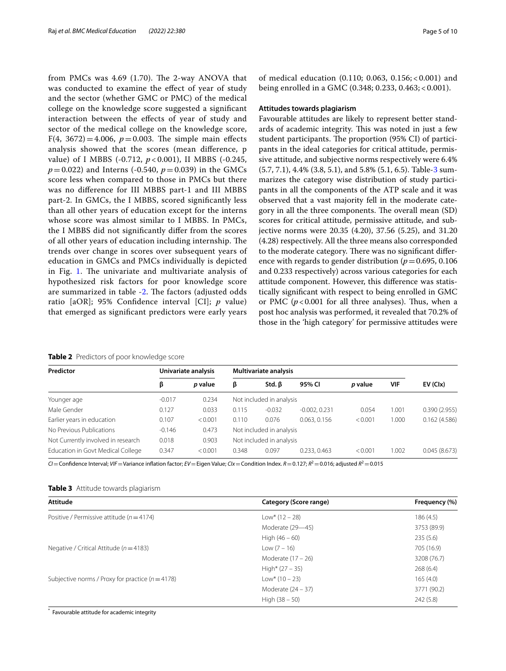from PMCs was  $4.69$  (1.70). The 2-way ANOVA that was conducted to examine the efect of year of study and the sector (whether GMC or PMC) of the medical college on the knowledge score suggested a signifcant interaction between the efects of year of study and sector of the medical college on the knowledge score, F(4, 3672) = 4.006,  $p = 0.003$ . The simple main effects analysis showed that the scores (mean diference, p value) of I MBBS (-0.712, *p* < 0.001), II MBBS (-0.245,  $p = 0.022$ ) and Interns (-0.540,  $p = 0.039$ ) in the GMCs score less when compared to those in PMCs but there was no diference for III MBBS part-1 and III MBBS part-2. In GMCs, the I MBBS, scored signifcantly less than all other years of education except for the interns whose score was almost similar to I MBBS. In PMCs, the I MBBS did not signifcantly difer from the scores of all other years of education including internship. The trends over change in scores over subsequent years of education in GMCs and PMCs individually is depicted in Fig. [1.](#page-5-0) The univariate and multivariate analysis of hypothesized risk factors for poor knowledge score are summarized in table  $-2$  $-2$ . The factors (adjusted odds ratio [aOR]; 95% Confdence interval [CI]; *p* value) that emerged as signifcant predictors were early years

of medical education (0.110; 0.063, 0.156; < 0.001) and being enrolled in a GMC (0.348; 0.233, 0.463; < 0.001).

#### **Attitudes towards plagiarism**

Favourable attitudes are likely to represent better standards of academic integrity. This was noted in just a few student participants. The proportion (95% CI) of participants in the ideal categories for critical attitude, permissive attitude, and subjective norms respectively were 6.4% (5.7, 7.1), 4.4% (3.8, 5.1), and 5.8% (5.1, 6.5). Table[-3](#page-4-1) summarizes the category wise distribution of study participants in all the components of the ATP scale and it was observed that a vast majority fell in the moderate category in all the three components. The overall mean (SD) scores for critical attitude, permissive attitude, and subjective norms were 20.35 (4.20), 37.56 (5.25), and 31.20 (4.28) respectively. All the three means also corresponded to the moderate category. There was no significant difference with regards to gender distribution ( $p=0.695$ , 0.106) and 0.233 respectively) across various categories for each attitude component. However, this diference was statistically signifcant with respect to being enrolled in GMC or PMC  $(p<0.001$  for all three analyses). Thus, when a post hoc analysis was performed, it revealed that 70.2% of those in the 'high category' for permissive attitudes were

<span id="page-4-0"></span>**Table 2** Predictors of poor knowledge score

| Predictor                          |          | Univariate analysis | Multivariate analysis    |          |                 |         |       |              |
|------------------------------------|----------|---------------------|--------------------------|----------|-----------------|---------|-------|--------------|
|                                    | β        | p value             | ß                        | Std.B    | 95% CI          | p value | VIF   | $EV$ (Clx)   |
| Younger age                        | $-0.017$ | 0.234               | Not included in analysis |          |                 |         |       |              |
| Male Gender                        | 0.127    | 0.033               | 0.115                    | $-0.032$ | $-0.002, 0.231$ | 0.054   | 1.001 | 0.390(2.955) |
| Earlier years in education         | 0.107    | < 0.001             | 0.110                    | 0.076    | 0.063, 0.156    | < 0.001 | 1.000 | 0.162(4.586) |
| No Previous Publications           | $-0.146$ | 0.473               | Not included in analysis |          |                 |         |       |              |
| Not Currently involved in research | 0.018    | 0.903               | Not included in analysis |          |                 |         |       |              |
| Education in Govt Medical College  | 0.347    | < 0.001             | 0.348                    | 0.097    | 0.233, 0.463    | < 0.001 | .002  | 0.045(8.673) |

 $C$ *I*=Confidence Interval; *VIF*=Variance inflation factor;  $EV =$  Eigen Value;  $C/x$  = Condition Index.  $R$  = 0.127;  $R$ <sup>2</sup> = 0.016; adjusted  $R$ <sup>2</sup> = 0.015

<span id="page-4-1"></span>

| Attitude                                             | Category (Score range) | Frequency (%) |
|------------------------------------------------------|------------------------|---------------|
| Positive / Permissive attitude ( $n = 4174$ )        | $Low* (12 – 28)$       | 186(4.5)      |
|                                                      | Moderate (29-45)       | 3753 (89.9)   |
|                                                      | High $(46 - 60)$       | 235(5.6)      |
| Negative / Critical Attitude ( $n = 4183$ )          | Low $(7 - 16)$         | 705 (16.9)    |
|                                                      | Moderate $(17 – 26)$   | 3208 (76.7)   |
|                                                      | High* $(27 – 35)$      | 268(6.4)      |
| Subjective norms / Proxy for practice ( $n = 4178$ ) | $Low* (10 - 23)$       | 165(4.0)      |
|                                                      | Moderate $(24 – 37)$   | 3771 (90.2)   |
|                                                      | High $(38 - 50)$       | 242(5.8)      |

\* Favourable attitude for academic integrity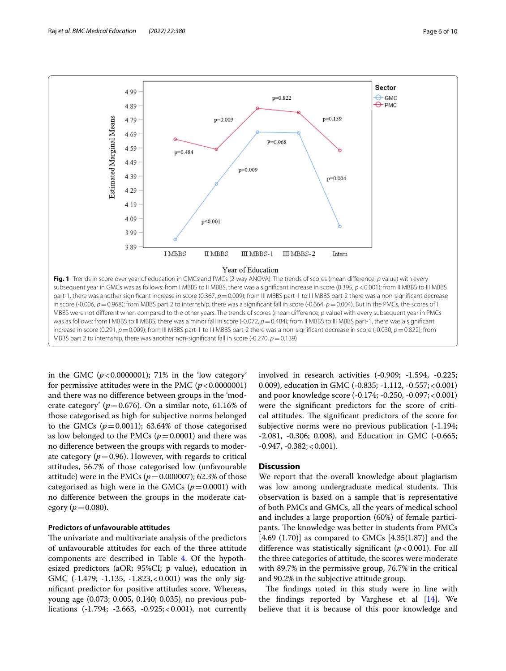

<span id="page-5-0"></span>in the GMC  $(p<0.0000001)$ ; 71% in the 'low category' for permissive attitudes were in the PMC  $(p < 0.0000001)$ and there was no diference between groups in the 'moderate category' ( $p=0.676$ ). On a similar note, 61.16% of those categorised as high for subjective norms belonged to the GMCs  $(p=0.0011)$ ; 63.64% of those categorised as low belonged to the PMCs  $(p=0.0001)$  and there was no diference between the groups with regards to moderate category  $(p=0.96)$ . However, with regards to critical attitudes, 56.7% of those categorised low (unfavourable attitude) were in the PMCs ( $p = 0.000007$ ); 62.3% of those categorised as high were in the GMCs  $(p=0.0001)$  with no diference between the groups in the moderate category ( $p = 0.080$ ).

## **Predictors of unfavourable attitudes**

The univariate and multivariate analysis of the predictors of unfavourable attitudes for each of the three attitude components are described in Table [4](#page-6-0). Of the hypothesized predictors (aOR; 95%CI; p value), education in GMC (-1.479; -1.135, -1.823,<0.001) was the only signifcant predictor for positive attitudes score. Whereas, young age (0.073; 0.005, 0.140; 0.035), no previous publications (-1.794; -2.663, -0.925;<0.001), not currently involved in research activities (-0.909; -1.594, -0.225; 0.009), education in GMC (-0.835; -1.112, -0.557;<0.001) and poor knowledge score (-0.174; -0.250, -0.097;<0.001) were the signifcant predictors for the score of critical attitudes. The significant predictors of the score for subjective norms were no previous publication (-1.194; -2.081, -0.306; 0.008), and Education in GMC (-0.665; -0.947, -0.382;<0.001).

## **Discussion**

We report that the overall knowledge about plagiarism was low among undergraduate medical students. This observation is based on a sample that is representative of both PMCs and GMCs, all the years of medical school and includes a large proportion (60%) of female participants. The knowledge was better in students from PMCs [4.69  $(1.70)$ ] as compared to GMCs [4.35 $(1.87)$ ] and the diference was statistically signifcant (*p*<0.001). For all the three categories of attitude, the scores were moderate with 89.7% in the permissive group, 76.7% in the critical and 90.2% in the subjective attitude group.

The findings noted in this study were in line with the fndings reported by Varghese et al [\[14](#page-9-12)]. We believe that it is because of this poor knowledge and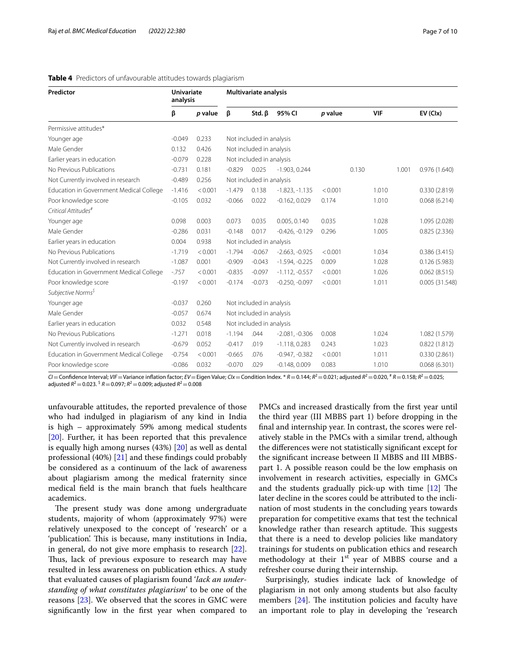| Predictor                               | <b>Univariate</b><br>analysis |         | <b>Multivariate analysis</b> |                          |                  |         |       |            |       |               |
|-----------------------------------------|-------------------------------|---------|------------------------------|--------------------------|------------------|---------|-------|------------|-------|---------------|
|                                         | β                             | p value | β                            | Std. $\beta$             | 95% CI           | p value |       | <b>VIF</b> |       | EV (Clx)      |
| Permissive attitudes*                   |                               |         |                              |                          |                  |         |       |            |       |               |
| Younger age                             | $-0.049$                      | 0.233   |                              | Not included in analysis |                  |         |       |            |       |               |
| Male Gender                             | 0.132                         | 0.426   | Not included in analysis     |                          |                  |         |       |            |       |               |
| Earlier years in education              | $-0.079$                      | 0.228   | Not included in analysis     |                          |                  |         |       |            |       |               |
| No Previous Publications                | $-0.731$                      | 0.181   | $-0.829$                     | 0.025                    | $-1.903, 0.244$  |         | 0.130 |            | 1.001 | 0.976(1.640)  |
| Not Currently involved in research      | $-0.489$                      | 0.256   |                              | Not included in analysis |                  |         |       |            |       |               |
| Education in Government Medical College | $-1.416$                      | < 0.001 | $-1.479$                     | 0.138                    | $-1.823, -1.135$ | < 0.001 |       | 1.010      |       | 0.330(2.819)  |
| Poor knowledge score                    | $-0.105$                      | 0.032   | $-0.066$                     | 0.022                    | $-0.162, 0.029$  | 0.174   |       | 1.010      |       | 0.068(6.214)  |
| Critical Attitudes <sup>#</sup>         |                               |         |                              |                          |                  |         |       |            |       |               |
| Younger age                             | 0.098                         | 0.003   | 0.073                        | 0.035                    | 0.005, 0.140     | 0.035   |       | 1.028      |       | 1.095 (2.028) |
| Male Gender                             | $-0.286$                      | 0.031   | $-0.148$                     | 0.017                    | $-0.426, -0.129$ | 0.296   |       | 1.005      |       | 0.825(2.336)  |
| Earlier years in education              | 0.004                         | 0.938   | Not included in analysis     |                          |                  |         |       |            |       |               |
| No Previous Publications                | $-1.719$                      | < 0.001 | $-1.794$                     | $-0.067$                 | $-2.663, -0.925$ | < 0.001 |       | 1.034      |       | 0.386(3.415)  |
| Not Currently involved in research      | $-1.087$                      | 0.001   | $-0.909$                     | $-0.043$                 | $-1.594, -0.225$ | 0.009   |       | 1.028      |       | 0.126(5.983)  |
| Education in Government Medical College | $-757$                        | < 0.001 | $-0.835$                     | $-0.097$                 | $-1.112, -0.557$ | < 0.001 |       | 1.026      |       | 0.062(8.515)  |
| Poor knowledge score                    | $-0.197$                      | < 0.001 | $-0.174$                     | $-0.073$                 | $-0.250, -0.097$ | < 0.001 |       | 1.011      |       | 0.005(31.548) |
| Subjective Norms <sup>S</sup>           |                               |         |                              |                          |                  |         |       |            |       |               |
| Younger age                             | $-0.037$                      | 0.260   | Not included in analysis     |                          |                  |         |       |            |       |               |
| Male Gender                             | $-0.057$                      | 0.674   | Not included in analysis     |                          |                  |         |       |            |       |               |
| Earlier years in education              | 0.032                         | 0.548   | Not included in analysis     |                          |                  |         |       |            |       |               |
| No Previous Publications                | $-1.271$                      | 0.018   | $-1.194$                     | .044                     | $-2.081, -0.306$ | 0.008   |       | 1.024      |       | 1.082 (1.579) |
| Not Currently involved in research      | $-0.679$                      | 0.052   | $-0.417$                     | .019                     | $-1.118, 0.283$  | 0.243   |       | 1.023      |       | 0.822(1.812)  |
| Education in Government Medical College | $-0.754$                      | < 0.001 | $-0.665$                     | .076                     | $-0.947, -0.382$ | < 0.001 |       | 1.011      |       | 0.330(2.861)  |
| Poor knowledge score                    | $-0.086$                      | 0.032   | $-0.070$                     | .029                     | $-0.148, 0.009$  | 0.083   |       | 1.010      |       | 0.068(6.301)  |

## <span id="page-6-0"></span>**Table 4** Predictors of unfavourable attitudes towards plagiarism

 $C$ I=Confidence Interval; *VIF*=Variance inflation factor; *EV*=Eigen Value; *CIx*=Condition Index. \* *R*=0.144; *R*<sup>2</sup>=0.021; adjusted *R*<sup>2</sup>=0.020, <sup>#</sup> *R*=0.158; *R*<sup>2</sup>=0.025; adjusted  $R^2 = 0.023$ .  $\frac{5}{9}R = 0.097$ ;  $R^2 = 0.009$ ; adjusted  $R^2 = 0.008$ 

unfavourable attitudes, the reported prevalence of those who had indulged in plagiarism of any kind in India is high – approximately 59% among medical students [[20\]](#page-9-18). Further, it has been reported that this prevalence is equally high among nurses (43%) [[20\]](#page-9-18) as well as dental professional (40%) [\[21](#page-9-19)] and these fndings could probably be considered as a continuum of the lack of awareness about plagiarism among the medical fraternity since medical feld is the main branch that fuels healthcare academics.

The present study was done among undergraduate students, majority of whom (approximately 97%) were relatively unexposed to the concept of 'research' or a 'publication'. This is because, many institutions in India, in general, do not give more emphasis to research [\[22](#page-9-20)]. Thus, lack of previous exposure to research may have resulted in less awareness on publication ethics. A study that evaluated causes of plagiarism found '*lack an understanding of what constitutes plagiarism*' to be one of the reasons [\[23\]](#page-9-21). We observed that the scores in GMC were signifcantly low in the frst year when compared to

PMCs and increased drastically from the first year until the third year (III MBBS part 1) before dropping in the fnal and internship year. In contrast, the scores were relatively stable in the PMCs with a similar trend, although the diferences were not statistically signifcant except for the signifcant increase between II MBBS and III MBBSpart 1. A possible reason could be the low emphasis on involvement in research activities, especially in GMCs and the students gradually pick-up with time  $[12]$  $[12]$  The later decline in the scores could be attributed to the inclination of most students in the concluding years towards preparation for competitive exams that test the technical knowledge rather than research aptitude. This suggests that there is a need to develop policies like mandatory trainings for students on publication ethics and research methodology at their 1<sup>st</sup> year of MBBS course and a refresher course during their internship.

Surprisingly, studies indicate lack of knowledge of plagiarism in not only among students but also faculty members  $[24]$  $[24]$ . The institution policies and faculty have an important role to play in developing the 'research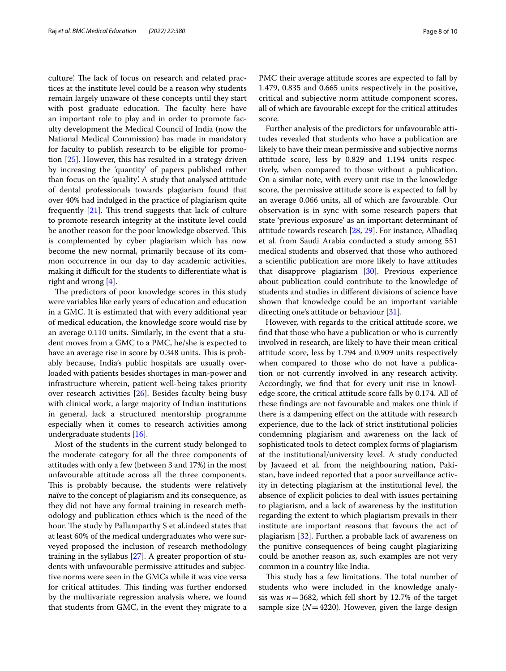culture'. The lack of focus on research and related practices at the institute level could be a reason why students remain largely unaware of these concepts until they start with post graduate education. The faculty here have an important role to play and in order to promote faculty development the Medical Council of India (now the National Medical Commission) has made in mandatory for faculty to publish research to be eligible for promotion [\[25](#page-9-24)]. However, this has resulted in a strategy driven by increasing the 'quantity' of papers published rather than focus on the 'quality'. A study that analysed attitude of dental professionals towards plagiarism found that over 40% had indulged in the practice of plagiarism quite frequently  $[21]$  $[21]$  $[21]$ . This trend suggests that lack of culture to promote research integrity at the institute level could be another reason for the poor knowledge observed. This is complemented by cyber plagiarism which has now become the new normal, primarily because of its common occurrence in our day to day academic activities, making it difficult for the students to differentiate what is right and wrong [[4\]](#page-9-3).

The predictors of poor knowledge scores in this study were variables like early years of education and education in a GMC. It is estimated that with every additional year of medical education, the knowledge score would rise by an average 0.110 units. Similarly, in the event that a student moves from a GMC to a PMC, he/she is expected to have an average rise in score by 0.348 units. This is probably because, India's public hospitals are usually overloaded with patients besides shortages in man-power and infrastructure wherein, patient well-being takes priority over research activities [\[26](#page-9-25)]. Besides faculty being busy with clinical work, a large majority of Indian institutions in general, lack a structured mentorship programme especially when it comes to research activities among undergraduate students [[16\]](#page-9-14).

Most of the students in the current study belonged to the moderate category for all the three components of attitudes with only a few (between 3 and 17%) in the most unfavourable attitude across all the three components. This is probably because, the students were relatively naïve to the concept of plagiarism and its consequence, as they did not have any formal training in research methodology and publication ethics which is the need of the hour. The study by Pallamparthy S et al.indeed states that at least 60% of the medical undergraduates who were surveyed proposed the inclusion of research methodology training in the syllabus [[27\]](#page-9-26). A greater proportion of students with unfavourable permissive attitudes and subjective norms were seen in the GMCs while it was vice versa for critical attitudes. This finding was further endorsed by the multivariate regression analysis where, we found that students from GMC, in the event they migrate to a PMC their average attitude scores are expected to fall by 1.479, 0.835 and 0.665 units respectively in the positive, critical and subjective norm attitude component scores, all of which are favourable except for the critical attitudes score.

Further analysis of the predictors for unfavourable attitudes revealed that students who have a publication are likely to have their mean permissive and subjective norms attitude score, less by 0.829 and 1.194 units respectively, when compared to those without a publication. On a similar note, with every unit rise in the knowledge score, the permissive attitude score is expected to fall by an average 0.066 units, all of which are favourable. Our observation is in sync with some research papers that state 'previous exposure' as an important determinant of attitude towards research [\[28](#page-9-27), [29\]](#page-9-28). For instance, Alhadlaq et al*.* from Saudi Arabia conducted a study among 551 medical students and observed that those who authored a scientifc publication are more likely to have attitudes that disapprove plagiarism [[30\]](#page-9-29). Previous experience about publication could contribute to the knowledge of students and studies in diferent divisions of science have shown that knowledge could be an important variable directing one's attitude or behaviour [[31\]](#page-9-30).

However, with regards to the critical attitude score, we fnd that those who have a publication or who is currently involved in research, are likely to have their mean critical attitude score, less by 1.794 and 0.909 units respectively when compared to those who do not have a publication or not currently involved in any research activity. Accordingly, we fnd that for every unit rise in knowledge score, the critical attitude score falls by 0.174. All of these fndings are not favourable and makes one think if there is a dampening efect on the attitude with research experience, due to the lack of strict institutional policies condemning plagiarism and awareness on the lack of sophisticated tools to detect complex forms of plagiarism at the institutional/university level. A study conducted by Javaeed et al*.* from the neighbouring nation, Pakistan, have indeed reported that a poor surveillance activity in detecting plagiarism at the institutional level, the absence of explicit policies to deal with issues pertaining to plagiarism, and a lack of awareness by the institution regarding the extent to which plagiarism prevails in their institute are important reasons that favours the act of plagiarism [[32](#page-9-31)]. Further, a probable lack of awareness on the punitive consequences of being caught plagiarizing could be another reason as, such examples are not very common in a country like India.

This study has a few limitations. The total number of students who were included in the knowledge analysis was  $n=3682$ , which fell short by 12.7% of the target sample size  $(N=4220)$ . However, given the large design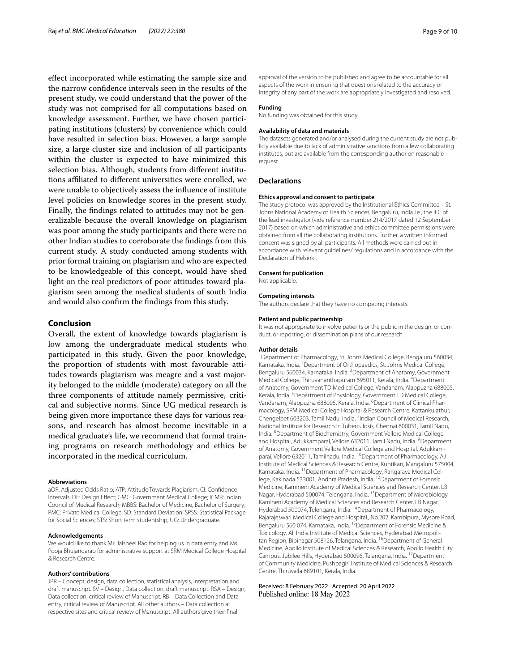efect incorporated while estimating the sample size and the narrow confdence intervals seen in the results of the present study, we could understand that the power of the study was not comprised for all computations based on knowledge assessment. Further, we have chosen participating institutions (clusters) by convenience which could have resulted in selection bias. However, a large sample size, a large cluster size and inclusion of all participants within the cluster is expected to have minimized this selection bias. Although, students from diferent institutions afliated to diferent universities were enrolled, we were unable to objectively assess the infuence of institute level policies on knowledge scores in the present study. Finally, the fndings related to attitudes may not be generalizable because the overall knowledge on plagiarism was poor among the study participants and there were no other Indian studies to corroborate the fndings from this current study. A study conducted among students with prior formal training on plagiarism and who are expected to be knowledgeable of this concept, would have shed light on the real predictors of poor attitudes toward plagiarism seen among the medical students of south India and would also confrm the fndings from this study.

## **Conclusion**

Overall, the extent of knowledge towards plagiarism is low among the undergraduate medical students who participated in this study. Given the poor knowledge, the proportion of students with most favourable attitudes towards plagiarism was meagre and a vast majority belonged to the middle (moderate) category on all the three components of attitude namely permissive, critical and subjective norms. Since UG medical research is being given more importance these days for various reasons, and research has almost become inevitable in a medical graduate's life, we recommend that formal training programs on research methodology and ethics be incorporated in the medical curriculum.

#### **Abbreviations**

aOR: Adjusted Odds Ratio; ATP: Attitude Towards Plagiarism; CI: Confdence Intervals; DE: Design Efect; GMC: Government Medical College; ICMR: Indian Council of Medical Research; MBBS: Bachelor of Medicine, Bachelor of Surgery; PMC: Private Medical College; SD: Standard Deviation; SPSS: Statistical Package for Social Sciences; STS: Short term studentship; UG: Undergraduate.

#### **Acknowledgements**

We would like to thank Mr. Jaisheel Rao for helping us in data entry and Ms. Pooja Bhujangarao for administrative support at SRM Medical College Hospital & Research Centre.

#### **Authors' contributions**

JPR – Concept, design, data collection, statistical analysis, interpretation and draft manuscript. SV – Design, Data collection, draft manuscript. RSA – Design, Data collection, critical review of Manuscript. RB – Data Collection and Data entry, critical review of Manuscript. All other authors – Data collection at respective sites and critical review of Manuscript. All authors give their fnal

approval of the version to be published and agree to be accountable for all aspects of the work in ensuring that questions related to the accuracy or integrity of any part of the work are appropriately investigated and resolved.

#### **Funding**

No funding was obtained for this study.

#### **Availability of data and materials**

The datasets generated and/or analysed during the current study are not publicly available due to lack of administrative sanctions from a few collaborating institutes, but are available from the corresponding author on reasonable request.

### **Declarations**

#### **Ethics approval and consent to participate**

The study protocol was approved by the Institutional Ethics Committee – St. Johns National Academy of Health Sciences, Bengaluru, India i.e., the IEC of the lead investigator (vide reference number 214/2017 dated 12 September 2017) based on which administrative and ethics committee permissions were obtained from all the collaborating institutions. Further, a written informed consent was signed by all participants. All methods were carried out in accordance with relevant guidelines/ regulations and in accordance with the Declaration of Helsinki.

#### **Consent for publication**

Not applicable.

#### **Competing interests**

The authors declare that they have no competing interests.

#### **Patient and public partnership**

It was not appropriate to involve patients or the public in the design, or conduct, or reporting, or dissemination plans of our research.

#### **Author details**

<sup>1</sup> Department of Pharmacology, St. Johns Medical College, Bengaluru 560034, Karnataka, India. <sup>2</sup> Department of Orthopaedics, St. Johns Medical College, Bengaluru 560034, Karnataka, India. <sup>3</sup> Department of Anatomy, Government Medical College, Thiruvananthapuram 695011, Kerala, India. <sup>4</sup>Department of Anatomy, Government TD Medical College, Vandanam, Alappuzha 688005, Kerala, India.<sup>5</sup> Department of Physiology, Government TD Medical College, Vandanam, Alappuzha 688005, Kerala, India. <sup>6</sup>Department of Clinical Pharmacology, SRM Medical College Hospital & Research Centre, Kattankulathur, Chengelpet 603203, Tamil Nadu, India. <sup>7</sup>Indian Council of Medical Research, National Institute for Research in Tuberculosis, Chennai 600031, Tamil Nadu, India. 8 Department of Biochemistry, Government Vellore Medical College and Hospital, Adukkamparai, Vellore 632011, Tamil Nadu, India. <sup>9</sup> Department of Anatomy, Government Vellore Medical College and Hospital, Adukkamparai, Vellore 632011, Tamilnadu, India. 10Department of Pharmacology, AJ Institute of Medical Sciences & Research Centre, Kuntikan, Mangaluru 575004, Karnataka, India. 11Department of Pharmacology, Rangaraya Medical College, Kakinada 533001, Andhra Pradesh, India. 12Department of Forensic Medicine, Kamineni Academy of Medical Sciences and Research Center, LB Nagar, Hyderabad 500074, Telengana, India. 13Department of Microbiology, Kamineni Academy of Medical Sciences and Research Center, LB Nagar, Hyderabad 500074, Telengana, India. 14Department of Pharmacology, Rajarajeswari Medical College and Hospital., No.202, Kambipura, Mysore Road, Bengaluru 560 074, Karnataka, India. 15Department of Forensic Medicine & Toxicology, All India Institute of Medical Sciences, Hyderabad Metropolitan Region, Bibinagar 508126, Telangana, India. 16Department of General Medicine, Apollo Institute of Medical Sciences & Research, Apollo Health City Campus, Jubilee Hills, Hyderabad 500096, Telangana, India. <sup>17</sup> Department of Community Medicine, Pushpagiri Institute of Medical Sciences & Research Centre, Thiruvalla 689101, Kerala, India.

## Received: 8 February 2022 Accepted: 20 April 2022Published online: 18 May 2022